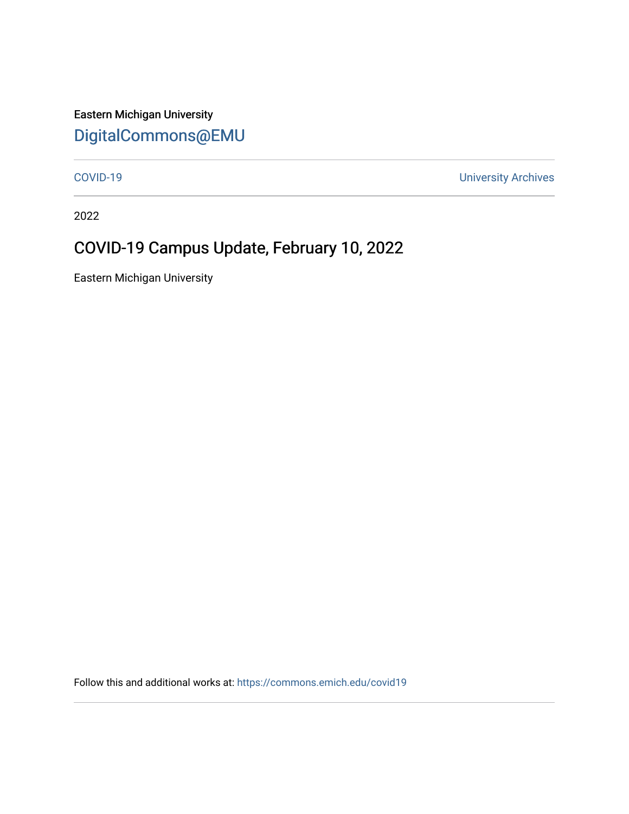Eastern Michigan University [DigitalCommons@EMU](https://commons.emich.edu/) 

[COVID-19](https://commons.emich.edu/covid19) [University Archives](https://commons.emich.edu/archives) 

2022

## COVID-19 Campus Update, February 10, 2022

Eastern Michigan University

Follow this and additional works at: [https://commons.emich.edu/covid19](https://commons.emich.edu/covid19?utm_source=commons.emich.edu%2Fcovid19%2F208&utm_medium=PDF&utm_campaign=PDFCoverPages)